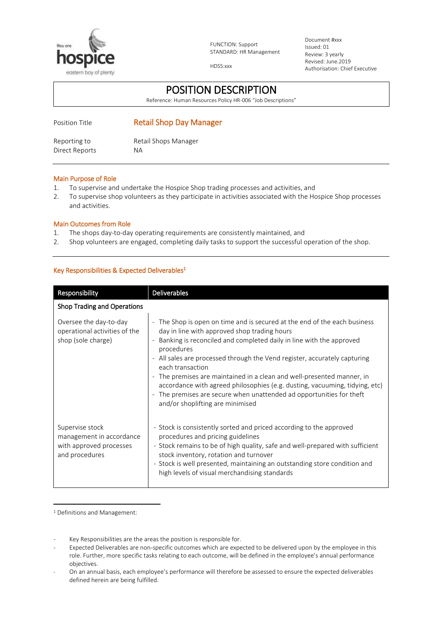

HDSS:xxx

Document #xxx Issued: 01 Review: 3 yearly Revised: June.2019 Authorisation: Chief Executive

## POSITION DESCRIPTION

Reference: Human Resources Policy HR-006 "Job Descriptions"

| Position Title | <b>Retail Shop Day Manager</b> |
|----------------|--------------------------------|
| Reporting to   | Retail Shops Manager           |
| Direct Reports | ΝA                             |

#### Main Purpose of Role

- 1. To supervise and undertake the Hospice Shop trading processes and activities, and
- 2. To supervise shop volunteers as they participate in activities associated with the Hospice Shop processes and activities.

#### Main Outcomes from Role

- 1. The shops day-to-day operating requirements are consistently maintained, and
- 2. Shop volunteers are engaged, completing daily tasks to support the successful operation of the shop.

| Responsibility                                                                           | <b>Deliverables</b>                                                                                                                                                                                                                                                                                                                                                                                                                                                                                                                                                                  |
|------------------------------------------------------------------------------------------|--------------------------------------------------------------------------------------------------------------------------------------------------------------------------------------------------------------------------------------------------------------------------------------------------------------------------------------------------------------------------------------------------------------------------------------------------------------------------------------------------------------------------------------------------------------------------------------|
| <b>Shop Trading and Operations</b>                                                       |                                                                                                                                                                                                                                                                                                                                                                                                                                                                                                                                                                                      |
| Oversee the day-to-day<br>operational activities of the<br>shop (sole charge)            | - The Shop is open on time and is secured at the end of the each business<br>day in line with approved shop trading hours<br>Banking is reconciled and completed daily in line with the approved<br>procedures<br>- All sales are processed through the Vend register, accurately capturing<br>each transaction<br>- The premises are maintained in a clean and well-presented manner, in<br>accordance with agreed philosophies (e.g. dusting, vacuuming, tidying, etc)<br>- The premises are secure when unattended ad opportunities for theft<br>and/or shoplifting are minimised |
| Supervise stock<br>management in accordance<br>with approved processes<br>and procedures | - Stock is consistently sorted and priced according to the approved<br>procedures and pricing guidelines<br>- Stock remains to be of high quality, safe and well-prepared with sufficient<br>stock inventory, rotation and turnover<br>- Stock is well presented, maintaining an outstanding store condition and<br>high levels of visual merchandising standards                                                                                                                                                                                                                    |

### Key Responsibilities & Expected Deliverables 1

l <sup>1</sup> Definitions and Management:

Key Responsibilities are the areas the position is responsible for.

Expected Deliverables are non-specific outcomes which are expected to be delivered upon by the employee in this role. Further, more specific tasks relating to each outcome, will be defined in the employee's annual performance objectives.

<sup>-</sup> On an annual basis, each employee's performance will therefore be assessed to ensure the expected deliverables defined herein are being fulfilled.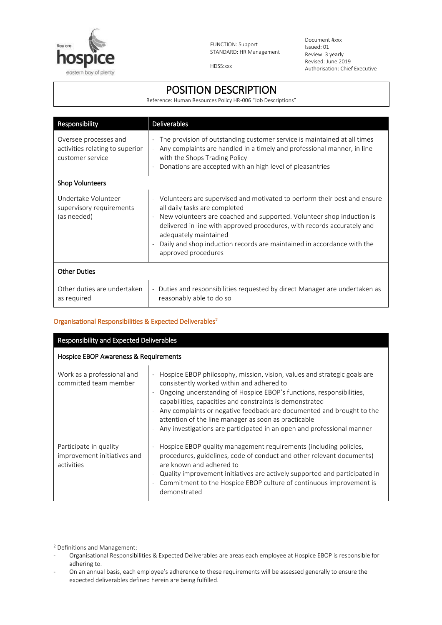

HDSS:xxx

Document #xxx Issued: 01 Review: 3 yearly Revised: June.2019 Authorisation: Chief Executive

## POSITION DESCRIPTION

Reference: Human Resources Policy HR-006 "Job Descriptions"

| Responsibility                                                               | <b>Deliverables</b>                                                                                                                                                                                                                                                                                                                                                                       |
|------------------------------------------------------------------------------|-------------------------------------------------------------------------------------------------------------------------------------------------------------------------------------------------------------------------------------------------------------------------------------------------------------------------------------------------------------------------------------------|
| Oversee processes and<br>activities relating to superior<br>customer service | The provision of outstanding customer service is maintained at all times<br>Any complaints are handled in a timely and professional manner, in line<br>$\blacksquare$<br>with the Shops Trading Policy<br>Donations are accepted with an high level of pleasantries                                                                                                                       |
| <b>Shop Volunteers</b>                                                       |                                                                                                                                                                                                                                                                                                                                                                                           |
| Undertake Volunteer<br>supervisory requirements<br>(as needed)               | - Volunteers are supervised and motivated to perform their best and ensure<br>all daily tasks are completed<br>New volunteers are coached and supported. Volunteer shop induction is<br>delivered in line with approved procedures, with records accurately and<br>adequately maintained<br>Daily and shop induction records are maintained in accordance with the<br>approved procedures |
| <b>Other Duties</b>                                                          |                                                                                                                                                                                                                                                                                                                                                                                           |
| Other duties are undertaken<br>as required                                   | Duties and responsibilities requested by direct Manager are undertaken as<br>$\blacksquare$<br>reasonably able to do so                                                                                                                                                                                                                                                                   |

### Organisational Responsibilities & Expected Deliverables<sup>2</sup>

| Responsibility and Expected Deliverables                            |                                                                                                                                                                                                                                                                                                                                                                                                                                                                                                                                                |  |
|---------------------------------------------------------------------|------------------------------------------------------------------------------------------------------------------------------------------------------------------------------------------------------------------------------------------------------------------------------------------------------------------------------------------------------------------------------------------------------------------------------------------------------------------------------------------------------------------------------------------------|--|
| Hospice EBOP Awareness & Requirements                               |                                                                                                                                                                                                                                                                                                                                                                                                                                                                                                                                                |  |
| Work as a professional and<br>committed team member                 | Hospice EBOP philosophy, mission, vision, values and strategic goals are<br>$\overline{\phantom{a}}$<br>consistently worked within and adhered to<br>Ongoing understanding of Hospice EBOP's functions, responsibilities,<br>capabilities, capacities and constraints is demonstrated<br>Any complaints or negative feedback are documented and brought to the<br>$\blacksquare$<br>attention of the line manager as soon as practicable<br>Any investigations are participated in an open and professional manner<br>$\overline{\phantom{a}}$ |  |
| Participate in quality<br>improvement initiatives and<br>activities | Hospice EBOP quality management requirements (including policies,<br>$\overline{\phantom{a}}$<br>procedures, guidelines, code of conduct and other relevant documents)<br>are known and adhered to<br>Quality improvement initiatives are actively supported and participated in<br>Commitment to the Hospice EBOP culture of continuous improvement is<br>$\overline{\phantom{a}}$<br>demonstrated                                                                                                                                            |  |

l

<sup>2</sup> Definitions and Management:

<sup>-</sup> Organisational Responsibilities & Expected Deliverables are areas each employee at Hospice EBOP is responsible for adhering to.

On an annual basis, each employee's adherence to these requirements will be assessed generally to ensure the expected deliverables defined herein are being fulfilled.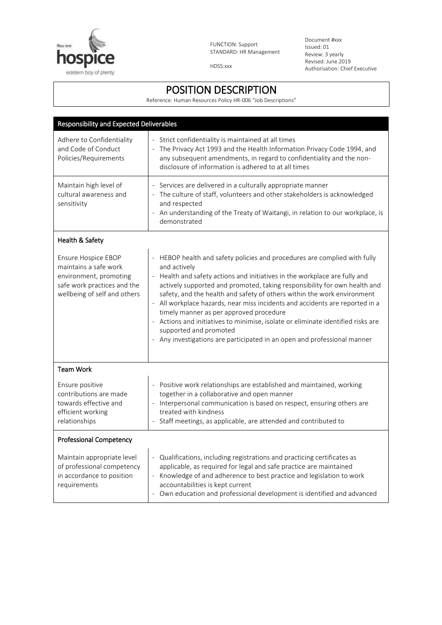

HDSS:xxx

Document #xxx Issued: 01 Review: 3 yearly Revised: June.2019 Authorisation: Chief Executive

# POSITION DESCRIPTION

Reference: Human Resources Policy HR-006 "Job Descriptions"

| <b>Responsibility and Expected Deliverables</b>                                                                                       |                                                                                                                                                                                                                                                                                                                                                                                                                                                                                                                                                                                                                                                    |  |
|---------------------------------------------------------------------------------------------------------------------------------------|----------------------------------------------------------------------------------------------------------------------------------------------------------------------------------------------------------------------------------------------------------------------------------------------------------------------------------------------------------------------------------------------------------------------------------------------------------------------------------------------------------------------------------------------------------------------------------------------------------------------------------------------------|--|
| Adhere to Confidentiality<br>and Code of Conduct<br>Policies/Requirements                                                             | Strict confidentiality is maintained at all times<br>$\mathbb{L}$<br>The Privacy Act 1993 and the Health Information Privacy Code 1994, and<br>any subsequent amendments, in regard to confidentiality and the non-<br>disclosure of information is adhered to at all times                                                                                                                                                                                                                                                                                                                                                                        |  |
| Maintain high level of<br>cultural awareness and<br>sensitivity                                                                       | Services are delivered in a culturally appropriate manner<br>- The culture of staff, volunteers and other stakeholders is acknowledged<br>and respected<br>- An understanding of the Treaty of Waitangi, in relation to our workplace, is<br>demonstrated                                                                                                                                                                                                                                                                                                                                                                                          |  |
| Health & Safety                                                                                                                       |                                                                                                                                                                                                                                                                                                                                                                                                                                                                                                                                                                                                                                                    |  |
| Ensure Hospice EBOP<br>maintains a safe work<br>environment, promoting<br>safe work practices and the<br>wellbeing of self and others | HEBOP health and safety policies and procedures are complied with fully<br>and actively<br>- Health and safety actions and initiatives in the workplace are fully and<br>actively supported and promoted, taking responsibility for own health and<br>safety, and the health and safety of others within the work environment<br>- All workplace hazards, near miss incidents and accidents are reported in a<br>timely manner as per approved procedure<br>- Actions and initiatives to minimise, isolate or eliminate identified risks are<br>supported and promoted<br>- Any investigations are participated in an open and professional manner |  |
| <b>Team Work</b>                                                                                                                      |                                                                                                                                                                                                                                                                                                                                                                                                                                                                                                                                                                                                                                                    |  |
| Ensure positive<br>contributions are made<br>towards effective and<br>efficient working<br>relationships                              | - Positive work relationships are established and maintained, working<br>together in a collaborative and open manner<br>Interpersonal communication is based on respect, ensuring others are<br>treated with kindness<br>Staff meetings, as applicable, are attended and contributed to                                                                                                                                                                                                                                                                                                                                                            |  |
| Professional Competency                                                                                                               |                                                                                                                                                                                                                                                                                                                                                                                                                                                                                                                                                                                                                                                    |  |
| Maintain appropriate level<br>of professional competency<br>in accordance to position<br>requirements                                 | Qualifications, including registrations and practicing certificates as<br>$\omega_{\rm c}$<br>applicable, as required for legal and safe practice are maintained<br>Knowledge of and adherence to best practice and legislation to work<br>accountabilities is kept current<br>Own education and professional development is identified and advanced                                                                                                                                                                                                                                                                                               |  |